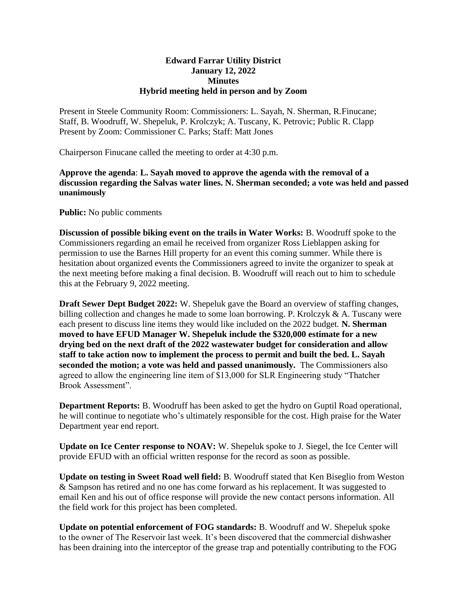## **Edward Farrar Utility District January 12, 2022 Minutes Hybrid meeting held in person and by Zoom**

Present in Steele Community Room: Commissioners: L. Sayah, N. Sherman, R.Finucane; Staff, B. Woodruff, W. Shepeluk, P. Krolczyk; A. Tuscany, K. Petrovic; Public R. Clapp Present by Zoom: Commissioner C. Parks; Staff: Matt Jones

Chairperson Finucane called the meeting to order at 4:30 p.m.

**Approve the agenda**: **L. Sayah moved to approve the agenda with the removal of a discussion regarding the Salvas water lines. N. Sherman seconded; a vote was held and passed unanimously**

**Public:** No public comments

**Discussion of possible biking event on the trails in Water Works:** B. Woodruff spoke to the Commissioners regarding an email he received from organizer Ross Lieblappen asking for permission to use the Barnes Hill property for an event this coming summer. While there is hesitation about organized events the Commissioners agreed to invite the organizer to speak at the next meeting before making a final decision. B. Woodruff will reach out to him to schedule this at the February 9, 2022 meeting.

**Draft Sewer Dept Budget 2022:** W. Shepeluk gave the Board an overview of staffing changes, billing collection and changes he made to some loan borrowing. P. Krolczyk & A. Tuscany were each present to discuss line items they would like included on the 2022 budget. **N. Sherman moved to have EFUD Manager W. Shepeluk include the \$320,000 estimate for a new drying bed on the next draft of the 2022 wastewater budget for consideration and allow staff to take action now to implement the process to permit and built the bed. L. Sayah seconded the motion; a vote was held and passed unanimously.** The Commissioners also agreed to allow the engineering line item of \$13,000 for SLR Engineering study "Thatcher Brook Assessment".

**Department Reports:** B. Woodruff has been asked to get the hydro on Guptil Road operational, he will continue to negotiate who's ultimately responsible for the cost. High praise for the Water Department year end report.

**Update on Ice Center response to NOAV:** W. Shepeluk spoke to J. Siegel, the Ice Center will provide EFUD with an official written response for the record as soon as possible.

**Update on testing in Sweet Road well field:** B. Woodruff stated that Ken Biseglio from Weston & Sampson has retired and no one has come forward as his replacement. It was suggested to email Ken and his out of office response will provide the new contact persons information. All the field work for this project has been completed.

**Update on potential enforcement of FOG standards:** B. Woodruff and W. Shepeluk spoke to the owner of The Reservoir last week. It's been discovered that the commercial dishwasher has been draining into the interceptor of the grease trap and potentially contributing to the FOG